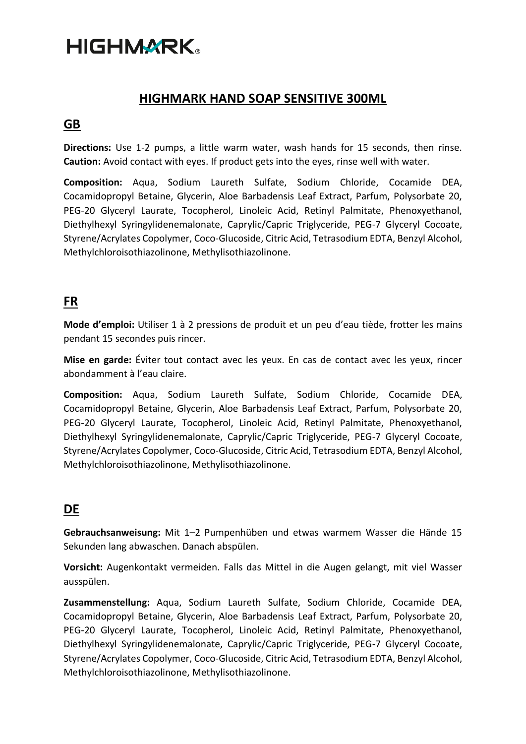# **HIGHMARK**

#### **HIGHMARK HAND SOAP SENSITIVE 300ML**

#### **GB**

**Directions:** Use 1-2 pumps, a little warm water, wash hands for 15 seconds, then rinse. **Caution:** Avoid contact with eyes. If product gets into the eyes, rinse well with water.

**Composition:** Aqua, Sodium Laureth Sulfate, Sodium Chloride, Cocamide DEA, Cocamidopropyl Betaine, Glycerin, Aloe Barbadensis Leaf Extract, Parfum, Polysorbate 20, PEG-20 Glyceryl Laurate, Tocopherol, Linoleic Acid, Retinyl Palmitate, Phenoxyethanol, Diethylhexyl Syringylidenemalonate, Caprylic/Capric Triglyceride, PEG-7 Glyceryl Cocoate, Styrene/Acrylates Copolymer, Coco-Glucoside, Citric Acid, Tetrasodium EDTA, Benzyl Alcohol, Methylchloroisothiazolinone, Methylisothiazolinone.

#### **FR**

**Mode d'emploi:** Utiliser 1 à 2 pressions de produit et un peu d'eau tiède, frotter les mains pendant 15 secondes puis rincer.

**Mise en garde:** Éviter tout contact avec les yeux. En cas de contact avec les yeux, rincer abondamment à l'eau claire.

**Composition:** Aqua, Sodium Laureth Sulfate, Sodium Chloride, Cocamide DEA, Cocamidopropyl Betaine, Glycerin, Aloe Barbadensis Leaf Extract, Parfum, Polysorbate 20, PEG-20 Glyceryl Laurate, Tocopherol, Linoleic Acid, Retinyl Palmitate, Phenoxyethanol, Diethylhexyl Syringylidenemalonate, Caprylic/Capric Triglyceride, PEG-7 Glyceryl Cocoate, Styrene/Acrylates Copolymer, Coco-Glucoside, Citric Acid, Tetrasodium EDTA, Benzyl Alcohol, Methylchloroisothiazolinone, Methylisothiazolinone.

### **DE**

**Gebrauchsanweisung:** Mit 1–2 Pumpenhüben und etwas warmem Wasser die Hände 15 Sekunden lang abwaschen. Danach abspülen.

**Vorsicht:** Augenkontakt vermeiden. Falls das Mittel in die Augen gelangt, mit viel Wasser ausspülen.

**Zusammenstellung:** Aqua, Sodium Laureth Sulfate, Sodium Chloride, Cocamide DEA, Cocamidopropyl Betaine, Glycerin, Aloe Barbadensis Leaf Extract, Parfum, Polysorbate 20, PEG-20 Glyceryl Laurate, Tocopherol, Linoleic Acid, Retinyl Palmitate, Phenoxyethanol, Diethylhexyl Syringylidenemalonate, Caprylic/Capric Triglyceride, PEG-7 Glyceryl Cocoate, Styrene/Acrylates Copolymer, Coco-Glucoside, Citric Acid, Tetrasodium EDTA, Benzyl Alcohol, Methylchloroisothiazolinone, Methylisothiazolinone.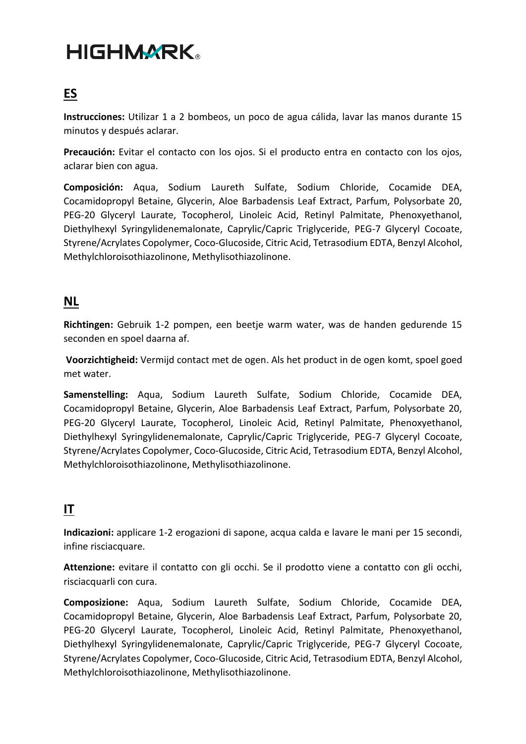# **HIGHMARK**

### **ES**

**Instrucciones:** Utilizar 1 a 2 bombeos, un poco de agua cálida, lavar las manos durante 15 minutos y después aclarar.

**Precaución:** Evitar el contacto con los ojos. Si el producto entra en contacto con los ojos, aclarar bien con agua.

**Composición:** Aqua, Sodium Laureth Sulfate, Sodium Chloride, Cocamide DEA, Cocamidopropyl Betaine, Glycerin, Aloe Barbadensis Leaf Extract, Parfum, Polysorbate 20, PEG-20 Glyceryl Laurate, Tocopherol, Linoleic Acid, Retinyl Palmitate, Phenoxyethanol, Diethylhexyl Syringylidenemalonate, Caprylic/Capric Triglyceride, PEG-7 Glyceryl Cocoate, Styrene/Acrylates Copolymer, Coco-Glucoside, Citric Acid, Tetrasodium EDTA, Benzyl Alcohol, Methylchloroisothiazolinone, Methylisothiazolinone.

#### **NL**

**Richtingen:** Gebruik 1-2 pompen, een beetje warm water, was de handen gedurende 15 seconden en spoel daarna af.

**Voorzichtigheid:** Vermijd contact met de ogen. Als het product in de ogen komt, spoel goed met water.

**Samenstelling:** Aqua, Sodium Laureth Sulfate, Sodium Chloride, Cocamide DEA, Cocamidopropyl Betaine, Glycerin, Aloe Barbadensis Leaf Extract, Parfum, Polysorbate 20, PEG-20 Glyceryl Laurate, Tocopherol, Linoleic Acid, Retinyl Palmitate, Phenoxyethanol, Diethylhexyl Syringylidenemalonate, Caprylic/Capric Triglyceride, PEG-7 Glyceryl Cocoate, Styrene/Acrylates Copolymer, Coco-Glucoside, Citric Acid, Tetrasodium EDTA, Benzyl Alcohol, Methylchloroisothiazolinone, Methylisothiazolinone.

### **IT**

**Indicazioni:** applicare 1-2 erogazioni di sapone, acqua calda e lavare le mani per 15 secondi, infine risciacquare.

**Attenzione:** evitare il contatto con gli occhi. Se il prodotto viene a contatto con gli occhi, risciacquarli con cura.

**Composizione:** Aqua, Sodium Laureth Sulfate, Sodium Chloride, Cocamide DEA, Cocamidopropyl Betaine, Glycerin, Aloe Barbadensis Leaf Extract, Parfum, Polysorbate 20, PEG-20 Glyceryl Laurate, Tocopherol, Linoleic Acid, Retinyl Palmitate, Phenoxyethanol, Diethylhexyl Syringylidenemalonate, Caprylic/Capric Triglyceride, PEG-7 Glyceryl Cocoate, Styrene/Acrylates Copolymer, Coco-Glucoside, Citric Acid, Tetrasodium EDTA, Benzyl Alcohol, Methylchloroisothiazolinone, Methylisothiazolinone.